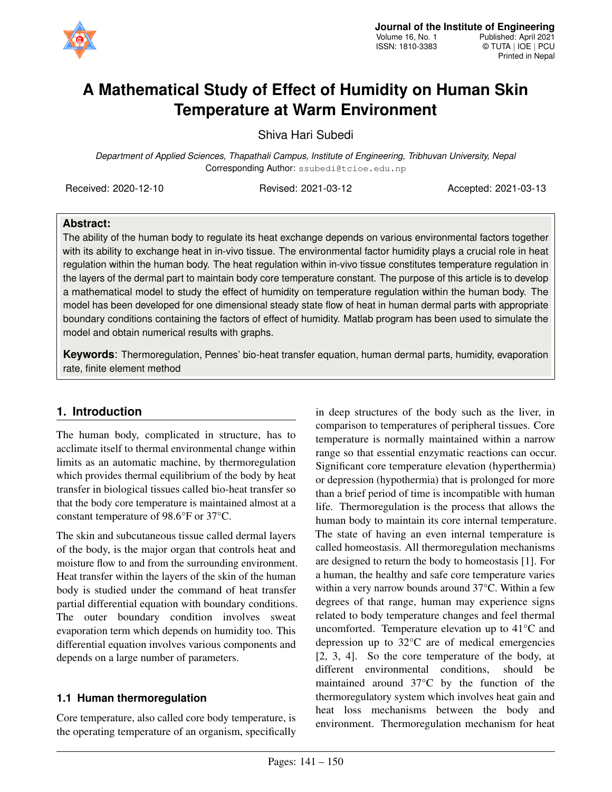

# **A Mathematical Study of Effect of Humidity on Human Skin Temperature at Warm Environment**

Shiva Hari Subedi

*Department of Applied Sciences, Thapathali Campus, Institute of Engineering, Tribhuvan University, Nepal* Corresponding Author: ssubedi@tcioe.edu.np

Received: 2020-12-10 Revised: 2021-03-12 Accepted: 2021-03-13

### **Abstract:**

The ability of the human body to regulate its heat exchange depends on various environmental factors together with its ability to exchange heat in in-vivo tissue. The environmental factor humidity plays a crucial role in heat regulation within the human body. The heat regulation within in-vivo tissue constitutes temperature regulation in the layers of the dermal part to maintain body core temperature constant. The purpose of this article is to develop a mathematical model to study the effect of humidity on temperature regulation within the human body. The model has been developed for one dimensional steady state flow of heat in human dermal parts with appropriate boundary conditions containing the factors of effect of humidity. Matlab program has been used to simulate the model and obtain numerical results with graphs.

**Keywords**: Thermoregulation, Pennes' bio-heat transfer equation, human dermal parts, humidity, evaporation rate, finite element method

# **1. Introduction**

The human body, complicated in structure, has to acclimate itself to thermal environmental change within limits as an automatic machine, by thermoregulation which provides thermal equilibrium of the body by heat transfer in biological tissues called bio-heat transfer so that the body core temperature is maintained almost at a constant temperature of 98.6°F or 37°C.

The skin and subcutaneous tissue called dermal layers of the body, is the major organ that controls heat and moisture flow to and from the surrounding environment. Heat transfer within the layers of the skin of the human body is studied under the command of heat transfer partial differential equation with boundary conditions. The outer boundary condition involves sweat evaporation term which depends on humidity too. This differential equation involves various components and depends on a large number of parameters.

### **1.1 Human thermoregulation**

Core temperature, also called core body temperature, is the operating temperature of an organism, specifically in deep structures of the body such as the liver, in comparison to temperatures of peripheral tissues. Core temperature is normally maintained within a narrow range so that essential enzymatic reactions can occur. Significant core temperature elevation (hyperthermia) or depression (hypothermia) that is prolonged for more than a brief period of time is incompatible with human life. Thermoregulation is the process that allows the human body to maintain its core internal temperature. The state of having an even internal temperature is called homeostasis. All thermoregulation mechanisms are designed to return the body to homeostasis [\[1\]](#page-8-0). For a human, the healthy and safe core temperature varies within a very narrow bounds around 37°C. Within a few degrees of that range, human may experience signs related to body temperature changes and feel thermal uncomforted. Temperature elevation up to 41°C and depression up to 32°C are of medical emergencies [\[2,](#page-8-1) [3,](#page-8-2) [4\]](#page-8-3). So the core temperature of the body, at different environmental conditions, should be maintained around 37°C by the function of the thermoregulatory system which involves heat gain and heat loss mechanisms between the body and environment. Thermoregulation mechanism for heat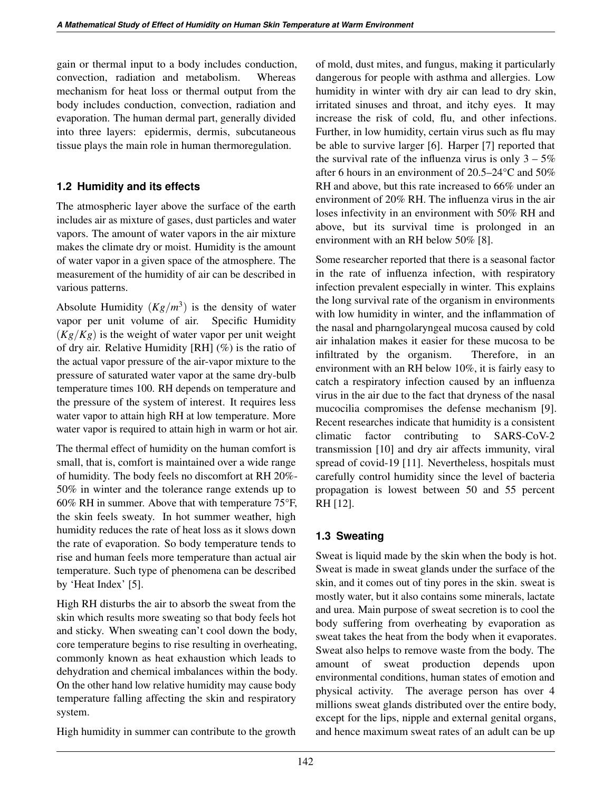gain or thermal input to a body includes conduction, convection, radiation and metabolism. Whereas mechanism for heat loss or thermal output from the body includes conduction, convection, radiation and evaporation. The human dermal part, generally divided into three layers: epidermis, dermis, subcutaneous tissue plays the main role in human thermoregulation.

### **1.2 Humidity and its effects**

The atmospheric layer above the surface of the earth includes air as mixture of gases, dust particles and water vapors. The amount of water vapors in the air mixture makes the climate dry or moist. Humidity is the amount of water vapor in a given space of the atmosphere. The measurement of the humidity of air can be described in various patterns.

Absolute Humidity  $(Kg/m^3)$  is the density of water vapor per unit volume of air. Specific Humidity (*Kg*/*Kg*) is the weight of water vapor per unit weight of dry air. Relative Humidity  $[RH]$  (%) is the ratio of the actual vapor pressure of the air-vapor mixture to the pressure of saturated water vapor at the same dry-bulb temperature times 100. RH depends on temperature and the pressure of the system of interest. It requires less water vapor to attain high RH at low temperature. More water vapor is required to attain high in warm or hot air.

The thermal effect of humidity on the human comfort is small, that is, comfort is maintained over a wide range of humidity. The body feels no discomfort at RH 20%- 50% in winter and the tolerance range extends up to 60% RH in summer. Above that with temperature 75°F, the skin feels sweaty. In hot summer weather, high humidity reduces the rate of heat loss as it slows down the rate of evaporation. So body temperature tends to rise and human feels more temperature than actual air temperature. Such type of phenomena can be described by 'Heat Index' [\[5\]](#page-8-4).

High RH disturbs the air to absorb the sweat from the skin which results more sweating so that body feels hot and sticky. When sweating can't cool down the body, core temperature begins to rise resulting in overheating, commonly known as heat exhaustion which leads to dehydration and chemical imbalances within the body. On the other hand low relative humidity may cause body temperature falling affecting the skin and respiratory system.

High humidity in summer can contribute to the growth

of mold, dust mites, and fungus, making it particularly dangerous for people with asthma and allergies. Low humidity in winter with dry air can lead to dry skin, irritated sinuses and throat, and itchy eyes. It may increase the risk of cold, flu, and other infections. Further, in low humidity, certain virus such as flu may be able to survive larger [\[6\]](#page-8-5). Harper [\[7\]](#page-8-6) reported that the survival rate of the influenza virus is only  $3 - 5\%$ after 6 hours in an environment of 20.5–24°C and 50% RH and above, but this rate increased to 66% under an environment of 20% RH. The influenza virus in the air loses infectivity in an environment with 50% RH and above, but its survival time is prolonged in an environment with an RH below 50% [\[8\]](#page-8-7).

Some researcher reported that there is a seasonal factor in the rate of influenza infection, with respiratory infection prevalent especially in winter. This explains the long survival rate of the organism in environments with low humidity in winter, and the inflammation of the nasal and pharngolaryngeal mucosa caused by cold air inhalation makes it easier for these mucosa to be infiltrated by the organism. Therefore, in an environment with an RH below 10%, it is fairly easy to catch a respiratory infection caused by an influenza virus in the air due to the fact that dryness of the nasal mucocilia compromises the defense mechanism [\[9\]](#page-8-8). Recent researches indicate that humidity is a consistent climatic factor contributing to SARS-CoV-2 transmission [\[10\]](#page-8-9) and dry air affects immunity, viral spread of covid-19 [\[11\]](#page-8-10). Nevertheless, hospitals must carefully control humidity since the level of bacteria propagation is lowest between 50 and 55 percent RH [\[12\]](#page-8-11).

# **1.3 Sweating**

Sweat is liquid made by the skin when the body is hot. Sweat is made in sweat glands under the surface of the skin, and it comes out of tiny pores in the skin. sweat is mostly water, but it also contains some minerals, lactate and urea. Main purpose of sweat secretion is to cool the body suffering from overheating by evaporation as sweat takes the heat from the body when it evaporates. Sweat also helps to remove waste from the body. The amount of sweat production depends upon environmental conditions, human states of emotion and physical activity. The average person has over 4 millions sweat glands distributed over the entire body, except for the lips, nipple and external genital organs, and hence maximum sweat rates of an adult can be up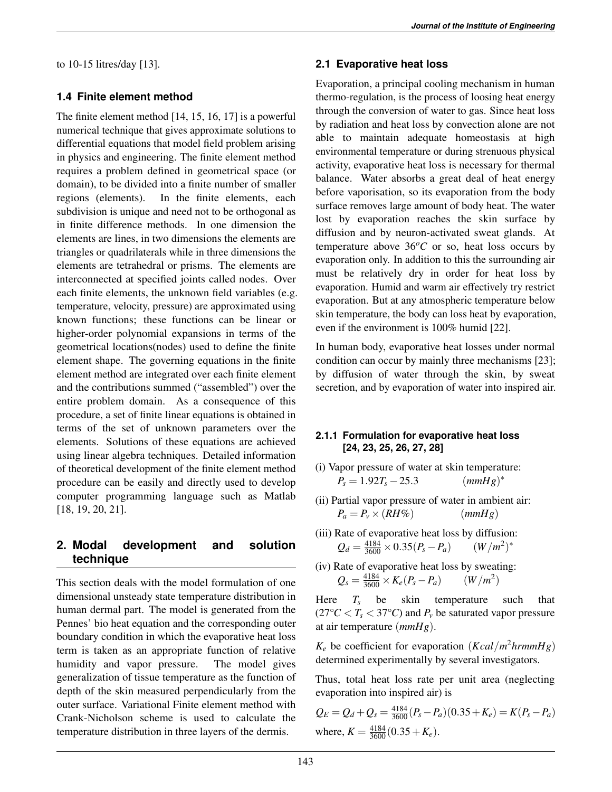to 10-15 litres/day [\[13\]](#page-8-12).

### **1.4 Finite element method**

The finite element method [\[14,](#page-8-13) [15,](#page-8-14) [16,](#page-8-15) [17\]](#page-8-16) is a powerful numerical technique that gives approximate solutions to differential equations that model field problem arising in physics and engineering. The finite element method requires a problem defined in geometrical space (or domain), to be divided into a finite number of smaller regions (elements). In the finite elements, each subdivision is unique and need not to be orthogonal as in finite difference methods. In one dimension the elements are lines, in two dimensions the elements are triangles or quadrilaterals while in three dimensions the elements are tetrahedral or prisms. The elements are interconnected at specified joints called nodes. Over each finite elements, the unknown field variables (e.g. temperature, velocity, pressure) are approximated using known functions; these functions can be linear or higher-order polynomial expansions in terms of the geometrical locations(nodes) used to define the finite element shape. The governing equations in the finite element method are integrated over each finite element and the contributions summed ("assembled") over the entire problem domain. As a consequence of this procedure, a set of finite linear equations is obtained in terms of the set of unknown parameters over the elements. Solutions of these equations are achieved using linear algebra techniques. Detailed information of theoretical development of the finite element method procedure can be easily and directly used to develop computer programming language such as Matlab [\[18,](#page-8-17) [19,](#page-8-18) [20,](#page-8-19) [21\]](#page-8-20).

### **2. Modal development and solution technique**

This section deals with the model formulation of one dimensional unsteady state temperature distribution in human dermal part. The model is generated from the Pennes' bio heat equation and the corresponding outer boundary condition in which the evaporative heat loss term is taken as an appropriate function of relative humidity and vapor pressure. The model gives generalization of tissue temperature as the function of depth of the skin measured perpendicularly from the outer surface. Variational Finite element method with Crank-Nicholson scheme is used to calculate the temperature distribution in three layers of the dermis.

### **2.1 Evaporative heat loss**

Evaporation, a principal cooling mechanism in human thermo-regulation, is the process of loosing heat energy through the conversion of water to gas. Since heat loss by radiation and heat loss by convection alone are not able to maintain adequate homeostasis at high environmental temperature or during strenuous physical activity, evaporative heat loss is necessary for thermal balance. Water absorbs a great deal of heat energy before vaporisation, so its evaporation from the body surface removes large amount of body heat. The water lost by evaporation reaches the skin surface by diffusion and by neuron-activated sweat glands. At temperature above  $36^{\circ}$ C or so, heat loss occurs by evaporation only. In addition to this the surrounding air must be relatively dry in order for heat loss by evaporation. Humid and warm air effectively try restrict evaporation. But at any atmospheric temperature below skin temperature, the body can loss heat by evaporation, even if the environment is 100% humid [\[22\]](#page-8-21).

In human body, evaporative heat losses under normal condition can occur by mainly three mechanisms [\[23\]](#page-8-22); by diffusion of water through the skin, by sweat secretion, and by evaporation of water into inspired air.

### **2.1.1 Formulation for evaporative heat loss [\[24,](#page-8-23) [23,](#page-8-22) [25,](#page-9-0) [26,](#page-9-1) [27,](#page-9-2) [28\]](#page-9-3)**

- (i) Vapor pressure of water at skin temperature:  $P_s = 1.92T_s - 25.3$  $(mmHg)^*$
- (ii) Partial vapor pressure of water in ambient air:  $P_a = P_v \times (RH\%)$  (*mmHg*)
- (iii) Rate of evaporative heat loss by diffusion:  $Q_d = \frac{4184}{3600} \times 0.35(P_s - P_a)$  (*W*/*m*<sup>2</sup>)<sup>\*</sup>
- (iv) Rate of evaporative heat loss by sweating:  $Q_s = \frac{4184}{3600} \times K_e(P_s - P_a)$  (*W*/*m*<sup>2</sup>)

Here  $T_s$  be skin temperature such that  $(27^{\circ}C < T_s < 37^{\circ}C)$  and  $P_v$  be saturated vapor pressure at air temperature (*mmHg*).

 $K_e$  be coefficient for evaporation (*Kcal*/*m*<sup>2</sup>*hrmmHg*) determined experimentally by several investigators.

Thus, total heat loss rate per unit area (neglecting evaporation into inspired air) is

$$
Q_E = Q_d + Q_s = \frac{4184}{3600} (P_s - P_a)(0.35 + K_e) = K(P_s - P_a)
$$
  
where,  $K = \frac{4184}{3600} (0.35 + K_e)$ .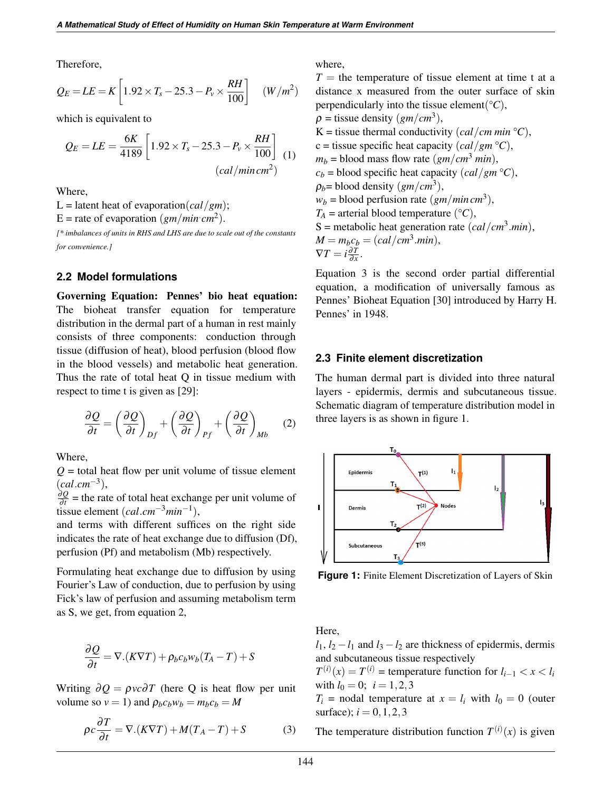Therefore,

$$
Q_E = LE = K \left[ 1.92 \times T_s - 25.3 - P_v \times \frac{RH}{100} \right] \quad (W/m^2)
$$

which is equivalent to

$$
Q_E = LE = \frac{6K}{4189} \left[ 1.92 \times T_s - 25.3 - P_v \times \frac{RH}{100} \right] \tag{1}
$$
\n
$$
(cal/min cm^2)
$$

Where,

L = latent heat of evaporation(*cal*/*gm*);

E = rate of evaporation  $(gm/min cm^2)$ .

*[\* imbalances of units in RHS and LHS are due to scale out of the constants for convenience.]*

#### **2.2 Model formulations**

Governing Equation: Pennes' bio heat equation: The bioheat transfer equation for temperature distribution in the dermal part of a human in rest mainly consists of three components: conduction through tissue (diffusion of heat), blood perfusion (blood flow in the blood vessels) and metabolic heat generation. Thus the rate of total heat Q in tissue medium with respect to time t is given as [\[29\]](#page-9-4):

<span id="page-3-0"></span>
$$
\frac{\partial Q}{\partial t} = \left(\frac{\partial Q}{\partial t}\right)_{Df} + \left(\frac{\partial Q}{\partial t}\right)_{Pf} + \left(\frac{\partial Q}{\partial t}\right)_{Mb} \quad (2)
$$

Where,

 $Q =$  total heat flow per unit volume of tissue element (*cal*.*cm*−<sup>3</sup> ),

∂*Q*  $\frac{\partial Q}{\partial t}$  = the rate of total heat exchange per unit volume of tissue element (*cal*.*cm*−3*min*−<sup>1</sup> ),

and terms with different suffices on the right side indicates the rate of heat exchange due to diffusion (Df), perfusion (Pf) and metabolism (Mb) respectively.

Formulating heat exchange due to diffusion by using Fourier's Law of conduction, due to perfusion by using Fick's law of perfusion and assuming metabolism term as S, we get, from equation [2,](#page-3-0)

$$
\frac{\partial Q}{\partial t} = \nabla.(K\nabla T) + \rho_b c_b w_b (T_A - T) + S
$$

Writing  $\partial Q = \rho v c \partial T$  (here Q is heat flow per unit volume so  $v = 1$ ) and  $\rho_b c_b w_b = m_b c_b = M$ 

$$
\rho c \frac{\partial T}{\partial t} = \nabla \cdot (K \nabla T) + M(T_A - T) + S \tag{3}
$$

where,

 $T =$  the temperature of tissue element at time t at a distance x measured from the outer surface of skin perpendicularly into the tissue element( ${}^{\circ}C$ ),  $\rho$  = tissue density (*gm*/*cm*<sup>3</sup>), K = tissue thermal conductivity  $\left(\frac{cal}{cm}\right)^{2}$ ,  $c = t$  issue specific heat capacity  $\left(\frac{cal}{gm} \, {}^{\circ}C\right)$ ,

 $m_b$  = blood mass flow rate (*gm*/*cm*<sup>3</sup> *min*),  $c_b$  = blood specific heat capacity (*cal*/*gm*  $\degree$ *C*),  $\rho_b$ = blood density  $(gm/cm^3)$ ,  $w_b$  = blood perfusion rate  $(g_m/min \, cm^3)$ ,  $T_A$  = arterial blood temperature ( ${}^{\circ}C$ ), S = metabolic heat generation rate  $(cal/cm<sup>3</sup>.min)$ ,  $M = m_b c_b = (cal/cm^3.min),$  $\nabla T = i \frac{\partial T}{\partial x}$  $\frac{\partial I}{\partial x}$ .

Equation [3](#page-3-1) is the second order partial differential equation, a modification of universally famous as Pennes' Bioheat Equation [\[30\]](#page-9-5) introduced by Harry H. Pennes' in 1948.

#### **2.3 Finite element discretization**

The human dermal part is divided into three natural layers - epidermis, dermis and subcutaneous tissue. Schematic diagram of temperature distribution model in three layers is as shown in figure [1.](#page-3-2)

<span id="page-3-2"></span>

**Figure 1:** Finite Element Discretization of Layers of Skin

Here,

 $l_1$ ,  $l_2 - l_1$  and  $l_3 - l_2$  are thickness of epidermis, dermis and subcutaneous tissue respectively

 $T^{(i)}(x) = T^{(i)}$  = temperature function for  $l_{i-1} < x < l_i$ with  $l_0 = 0$ ;  $i = 1, 2, 3$ 

<span id="page-3-1"></span> $T_i$  = nodal temperature at  $x = l_i$  with  $l_0 = 0$  (outer surface);  $i = 0, 1, 2, 3$ 

The temperature distribution function  $T^{(i)}(x)$  is given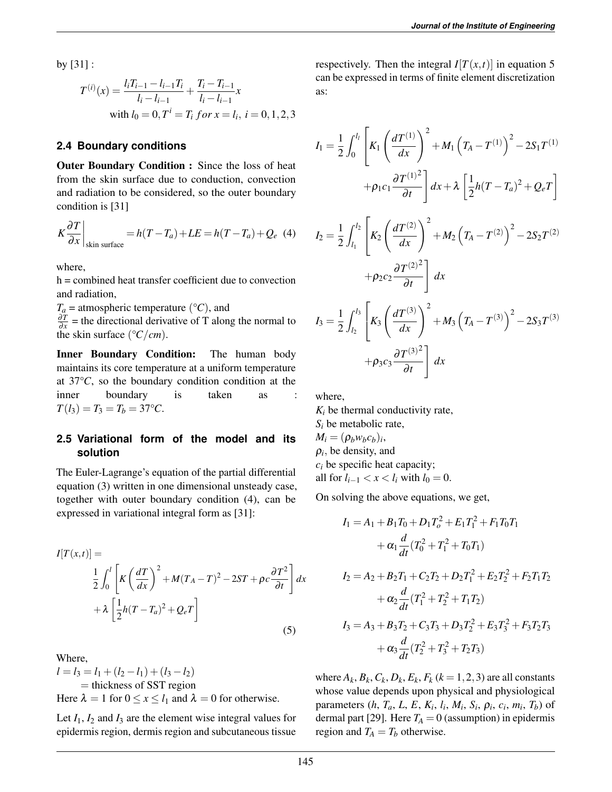by [\[31\]](#page-9-6) :

$$
T^{(i)}(x) = \frac{l_i T_{i-1} - l_{i-1} T_i}{l_i - l_{i-1}} + \frac{T_i - T_{i-1}}{l_i - l_{i-1}} x
$$
  
with  $l_0 = 0, T^i = T_i$  for  $x = l_i$ ,  $i = 0, 1, 2, 3$ 

### **2.4 Boundary conditions**

Outer Boundary Condition : Since the loss of heat from the skin surface due to conduction, convection and radiation to be considered, so the outer boundary condition is [\[31\]](#page-9-6)

<span id="page-4-0"></span>
$$
K\frac{\partial T}{\partial x}\Big|_{\text{skin surface}} = h(T - T_a) + LE = h(T - T_a) + Q_e
$$
 (4)

where,

h = combined heat transfer coefficient due to convection and radiation,

 $T_a$  = atmospheric temperature ( ${}^{\circ}C$ ), and

∂*T*  $\frac{\partial I}{\partial x}$  = the directional derivative of T along the normal to the skin surface  $(^{\circ}C/cm)$ .

Inner Boundary Condition: The human body maintains its core temperature at a uniform temperature at 37°*C*, so the boundary condition condition at the inner boundary is taken as  $T(l_3) = T_3 = T_b = 37$ °C.

### **2.5 Variational form of the model and its solution**

The Euler-Lagrange's equation of the partial differential equation (3) written in one dimensional unsteady case, together with outer boundary condition [\(4\)](#page-4-0), can be expressed in variational integral form as [\[31\]](#page-9-6):

<span id="page-4-1"></span>
$$
I[T(x,t)] =
$$
  
\n
$$
\frac{1}{2} \int_0^l \left[ K \left( \frac{dT}{dx} \right)^2 + M(T_A - T)^2 - 2ST + \rho c \frac{\partial T^2}{\partial t} \right] dx
$$
  
\n
$$
+ \lambda \left[ \frac{1}{2} h(T - T_a)^2 + Q_e T \right]
$$
\n(5)

Where,  $l = l_3 = l_1 + (l_2 - l_1) + (l_3 - l_2)$  $=$  thickness of SST region Here  $\lambda = 1$  for  $0 \le x \le l_1$  and  $\lambda = 0$  for otherwise.

Let  $I_1$ ,  $I_2$  and  $I_3$  are the element wise integral values for epidermis region, dermis region and subcutaneous tissue

respectively. Then the integral  $I[T(x,t)]$  in equation [5](#page-4-1) can be expressed in terms of finite element discretization as:

$$
I_{1} = \frac{1}{2} \int_{0}^{l_{l}} \left[ K_{1} \left( \frac{dT^{(1)}}{dx} \right)^{2} + M_{1} \left( T_{A} - T^{(1)} \right)^{2} - 2S_{1}T^{(1)}
$$
  
+  $\rho_{1}c_{1} \frac{\partial T^{(1)}}{\partial t} \right] dx + \lambda \left[ \frac{1}{2}h(T - T_{a})^{2} + Q_{e}T \right]$   

$$
I_{2} = \frac{1}{2} \int_{l_{1}}^{l_{2}} \left[ K_{2} \left( \frac{dT^{(2)}}{dx} \right)^{2} + M_{2} \left( T_{A} - T^{(2)} \right)^{2} - 2S_{2}T^{(2)}
$$
  
+  $\rho_{2}c_{2} \frac{\partial T^{(2)}}{\partial t} \right] dx$   

$$
I_{3} = \frac{1}{2} \int_{l_{2}}^{l_{3}} \left[ K_{3} \left( \frac{dT^{(3)}}{dx} \right)^{2} + M_{3} \left( T_{A} - T^{(3)} \right)^{2} - 2S_{3}T^{(3)}
$$
  
+  $\rho_{3}c_{3} \frac{\partial T^{(3)}}{\partial t} \right] dx$ 

where,

 $K_i$  be thermal conductivity rate,  $S_i$  be metabolic rate,  $M_i = (\rho_b w_b c_b)_i$  $\rho_i$ , be density, and *c<sup>i</sup>* be specific heat capacity; all for  $l_{i-1} < x < l_i$  with  $l_0 = 0$ .

On solving the above equations, we get,

$$
I_1 = A_1 + B_1 T_0 + D_1 T_o^2 + E_1 T_1^2 + F_1 T_0 T_1
$$
  
+  $\alpha_1 \frac{d}{dt} (T_0^2 + T_1^2 + T_0 T_1)$   

$$
I_2 = A_2 + B_2 T_1 + C_2 T_2 + D_2 T_1^2 + E_2 T_2^2 + F_2 T_1 T_2
$$
  
+  $\alpha_2 \frac{d}{dt} (T_1^2 + T_2^2 + T_1 T_2)$   

$$
I_3 = A_3 + B_3 T_2 + C_3 T_3 + D_3 T_2^2 + E_3 T_3^2 + F_3 T_2 T_3
$$
  
+  $\alpha_3 \frac{d}{dt} (T_2^2 + T_3^2 + T_2 T_3)$ 

where  $A_k$ ,  $B_k$ ,  $C_k$ ,  $D_k$ ,  $E_k$ ,  $F_k$  ( $k = 1, 2, 3$ ) are all constants whose value depends upon physical and physiological parameters  $(h, T_a, L, E, K_i, l_i, M_i, S_i, \rho_i, c_i, m_i, T_b)$  of dermal part [\[29\]](#page-9-4). Here  $T_A = 0$  (assumption) in epidermis region and  $T_A = T_b$  otherwise.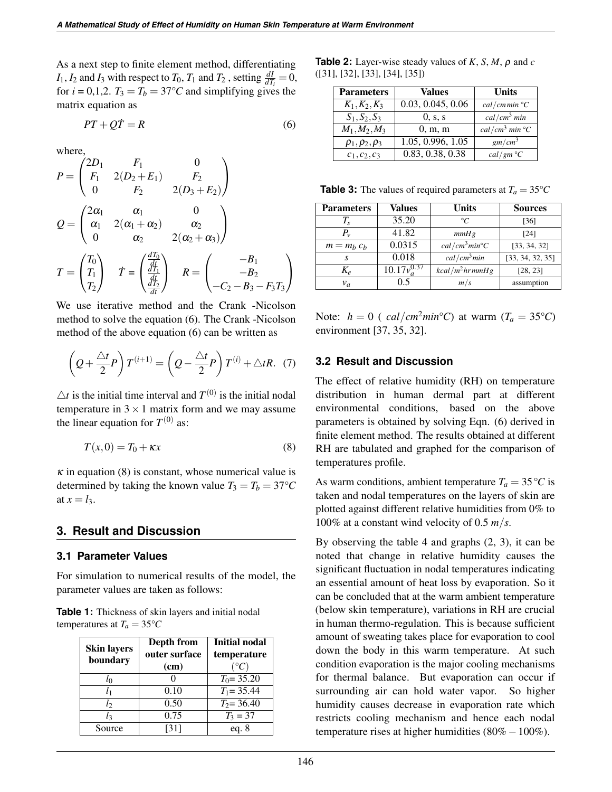As a next step to finite element method, differentiating *I*<sub>1</sub>, *I*<sub>2</sub> and *I*<sub>3</sub> with respect to *T*<sub>0</sub>, *T*<sub>1</sub> and *T*<sub>2</sub>, setting  $\frac{dI}{dT_i} = 0$ , for  $i = 0,1,2$ .  $T_3 = T_b = 37^{\circ}C$  and simplifying gives the matrix equation as

<span id="page-5-0"></span>
$$
PT + Q\dot{T} = R \tag{6}
$$

where,

$$
P = \begin{pmatrix} 2D_1 & F_1 & 0 \\ F_1 & 2(D_2 + E_1) & F_2 \\ 0 & F_2 & 2(D_3 + E_2) \end{pmatrix}
$$
  
\n
$$
Q = \begin{pmatrix} 2\alpha_1 & \alpha_1 & 0 \\ \alpha_1 & 2(\alpha_1 + \alpha_2) & \alpha_2 \\ 0 & \alpha_2 & 2(\alpha_2 + \alpha_3) \end{pmatrix}
$$
  
\n
$$
T = \begin{pmatrix} T_0 \\ T_1 \\ T_2 \end{pmatrix} \quad \dot{T} = \begin{pmatrix} \frac{dT_0}{dt} \\ \frac{dT_1}{dt} \\ \frac{dT_2}{dt} \end{pmatrix} \quad R = \begin{pmatrix} -B_1 \\ -B_2 \\ -C_2 - B_3 - F_3 T_3 \end{pmatrix}
$$

We use iterative method and the Crank -Nicolson method to solve the equation [\(6\)](#page-5-0). The Crank -Nicolson method of the above equation [\(6\)](#page-5-0) can be written as

$$
\left(Q + \frac{\triangle t}{2}P\right)T^{(i+1)} = \left(Q - \frac{\triangle t}{2}P\right)T^{(i)} + \triangle tR. \tag{7}
$$

 $\triangle t$  is the initial time interval and  $T^{(0)}$  is the initial nodal temperature in  $3 \times 1$  matrix form and we may assume the linear equation for  $T^{(0)}$  as:

<span id="page-5-1"></span>
$$
T(x,0) = T_0 + \kappa x \tag{8}
$$

 $\kappa$  in equation [\(8\)](#page-5-1) is constant, whose numerical value is determined by taking the known value  $T_3 = T_b = 37$ °C at  $x = l_3$ .

### **3. Result and Discussion**

#### **3.1 Parameter Values**

For simulation to numerical results of the model, the parameter values are taken as follows:

**Table 1:** Thickness of skin layers and initial nodal temperatures at  $T_a = 35^{\circ}C$ 

| <b>Skin layers</b><br>boundary | Depth from<br>outer surface<br>(cm) | <b>Initial nodal</b><br>temperature<br>$(^\circ C)$ |  |
|--------------------------------|-------------------------------------|-----------------------------------------------------|--|
| lo                             |                                     | $T_0 = 35.20$                                       |  |
| l1                             | 0.10                                | $T_1 = 35.44$                                       |  |
| lэ                             | 0.50                                | $T_2 = 36.40$                                       |  |
| l٦                             | 0.75                                | $T_3 = 37$                                          |  |
| Source                         | [31]                                | eq. $8$                                             |  |

**Table 2:** Layer-wise steady values of  $K$ ,  $S$ ,  $M$ ,  $\rho$  and  $c$ ([\[31\]](#page-9-6), [\[32\]](#page-9-7), [\[33\]](#page-9-8), [\[34\]](#page-9-9), [\[35\]](#page-9-10))

| <b>Parameters</b>        | <b>Values</b>     | Units                      |  |
|--------------------------|-------------------|----------------------------|--|
| $K_1, K_2, K_3$          | 0.03, 0.045, 0.06 | $cal/cmmin$ °C             |  |
| $S_1, S_2, S_3$          | 0, s, s           | cal/cm <sup>3</sup> min    |  |
| $M_1, M_2, M_3$          | 0, m, m           | $cal/cm^3$ min $^{\circ}C$ |  |
| $\rho_1, \rho_2, \rho_3$ | 1.05, 0.996, 1.05 | gm/cm <sup>3</sup>         |  |
| $c_1, c_2, c_3$          | 0.83, 0.38, 0.38  | $cal/gm$ °C                |  |

**Table 3:** The values of required parameters at  $T_a = 35^{\circ}C$ 

| <b>Parameters</b>            | Values            | <b>Units</b>                           | <b>Sources</b>   |
|------------------------------|-------------------|----------------------------------------|------------------|
| T,                           | 35.20             | $\circ$                                | [36]             |
| Р.,                          | 41.82             | mmHg                                   | [24]             |
| $m = m_h c_h$                | 0.0315            | cal/cm <sup>3</sup> min <sup>o</sup> C | [33, 34, 32]     |
| S                            | 0.018             | cal/cm <sup>3</sup> min                | [33, 34, 32, 35] |
| $K_{\scriptscriptstyle\rho}$ | $10.17v_a^{0.37}$ | $kcal/m^2$ hr mmHg                     | [28, 23]         |
| $v_a$                        | 0.5               | m/s                                    | assumption       |

Note:  $h = 0$  ( *cal/cm<sup>2</sup>min*<sup>°</sup>*C*) at warm ( $T_a = 35$ <sup>°</sup>*C*) environment [\[37,](#page-9-12) [35,](#page-9-10) [32\]](#page-9-7).

#### **3.2 Result and Discussion**

The effect of relative humidity (RH) on temperature distribution in human dermal part at different environmental conditions, based on the above parameters is obtained by solving Eqn. [\(6\)](#page-5-0) derived in finite element method. The results obtained at different RH are tabulated and graphed for the comparison of temperatures profile.

As warm conditions, ambient temperature  $T_a = 35 \degree C$  is taken and nodal temperatures on the layers of skin are plotted against different relative humidities from 0% to 100% at a constant wind velocity of 0.5 *m*/*s*.

By observing the table [4](#page-6-0) and graphs [\(2,](#page-6-1) [3\)](#page-7-0), it can be noted that change in relative humidity causes the significant fluctuation in nodal temperatures indicating an essential amount of heat loss by evaporation. So it can be concluded that at the warm ambient temperature (below skin temperature), variations in RH are crucial in human thermo-regulation. This is because sufficient amount of sweating takes place for evaporation to cool down the body in this warm temperature. At such condition evaporation is the major cooling mechanisms for thermal balance. But evaporation can occur if surrounding air can hold water vapor. So higher humidity causes decrease in evaporation rate which restricts cooling mechanism and hence each nodal temperature rises at higher humidities (80%−100%).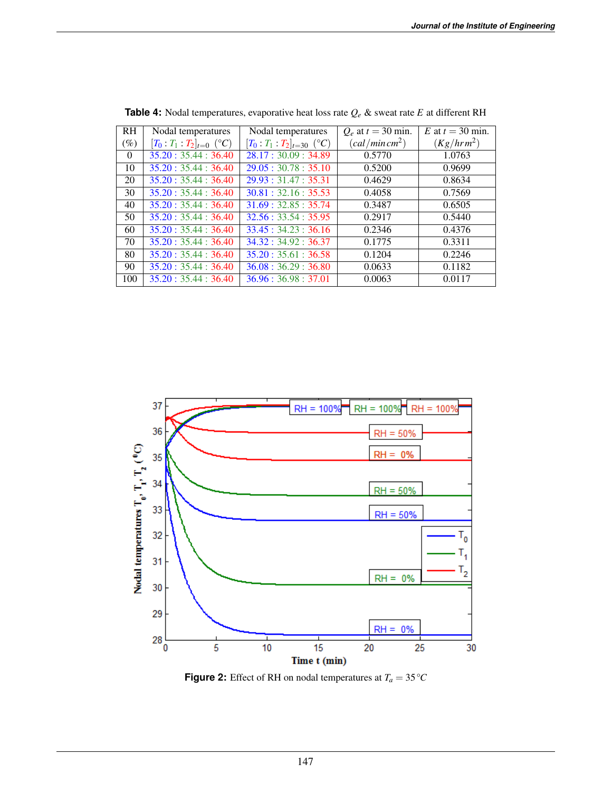<span id="page-6-0"></span>

| <b>RH</b> | Nodal temperatures           | Nodal temperatures                | $Q_e$ at $t = 30$ min.    | E at $t = 30$ min. |
|-----------|------------------------------|-----------------------------------|---------------------------|--------------------|
| $(\%)$    | $[T_0: T_1: T_2]_{t=0}$ (°C) | $[T_0: T_1: T_2]_{t=30}$ (°C)     | (cd/min cm <sup>2</sup> ) | $(Kg/hrm^2)$       |
| $\theta$  | 35.20:35.44:36.40            | 28.17:30.09:34.89                 | 0.5770                    | 1.0763             |
| 10        | 35.20:35.44:36.40            | 29.05:30.78:35.10                 | 0.5200                    | 0.9699             |
| 20        | 35.20:35.44:36.40            | 29.93:31.47:35.31                 | 0.4629                    | 0.8634             |
| 30        | 35.20:35.44:36.40            | 30.81:32.16:35.53                 | 0.4058                    | 0.7569             |
| 40        | 35.20:35.44:36.40            | 31.69:32.85:35.74                 | 0.3487                    | 0.6505             |
| 50        | 35.20:35.44:36.40            | 32.56:33.54:35.95                 | 0.2917                    | 0.5440             |
| 60        | 35.20:35.44:36.40            | 33.45:34.23:36.16                 | 0.2346                    | 0.4376             |
| 70        | 35.20:35.44:36.40            | 34.32:34.92:36.37                 | 0.1775                    | 0.3311             |
| 80        | 35.20:35.44:36.40            | $\overline{35.20}$ : 35.61: 36.58 | 0.1204                    | 0.2246             |
| 90        | 35.20:35.44:36.40            | 36.08 : 36.29 : 36.80             | 0.0633                    | 0.1182             |
| 100       | 35.20:35.44:36.40            | 36.96 : 36.98 : 37.01             | 0.0063                    | 0.0117             |

**Table 4:** Nodal temperatures, evaporative heat loss rate *Q<sup>e</sup>* & sweat rate *E* at different RH

<span id="page-6-1"></span>

**Figure 2:** Effect of RH on nodal temperatures at  $T_a = 35 \degree C$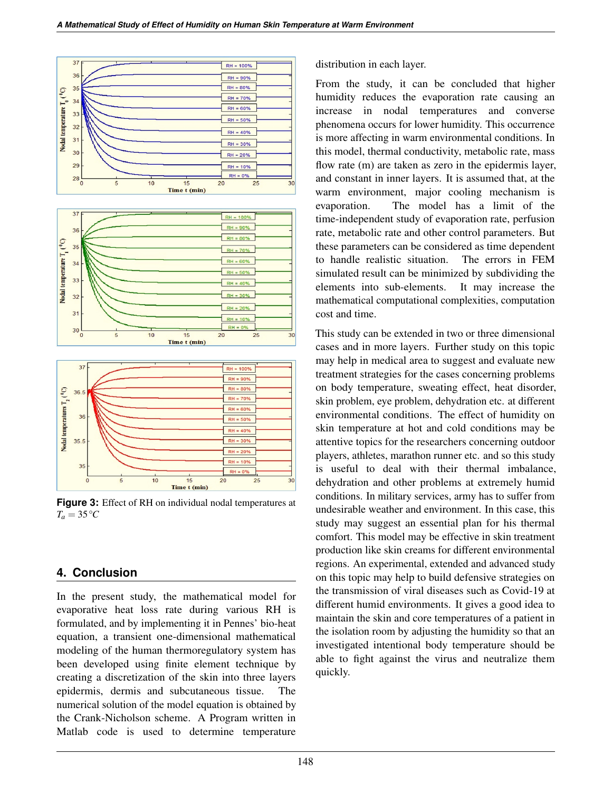<span id="page-7-0"></span>

**Figure 3:** Effect of RH on individual nodal temperatures at  $T_a = 35 \degree C$ 

# **4. Conclusion**

In the present study, the mathematical model for evaporative heat loss rate during various RH is formulated, and by implementing it in Pennes' bio-heat equation, a transient one-dimensional mathematical modeling of the human thermoregulatory system has been developed using finite element technique by creating a discretization of the skin into three layers epidermis, dermis and subcutaneous tissue. The numerical solution of the model equation is obtained by the Crank-Nicholson scheme. A Program written in Matlab code is used to determine temperature distribution in each layer.

From the study, it can be concluded that higher humidity reduces the evaporation rate causing an increase in nodal temperatures and converse phenomena occurs for lower humidity. This occurrence is more affecting in warm environmental conditions. In this model, thermal conductivity, metabolic rate, mass flow rate (m) are taken as zero in the epidermis layer, and constant in inner layers. It is assumed that, at the warm environment, major cooling mechanism is evaporation. The model has a limit of the time-independent study of evaporation rate, perfusion rate, metabolic rate and other control parameters. But these parameters can be considered as time dependent to handle realistic situation. The errors in FEM simulated result can be minimized by subdividing the elements into sub-elements. It may increase the mathematical computational complexities, computation cost and time.

This study can be extended in two or three dimensional cases and in more layers. Further study on this topic may help in medical area to suggest and evaluate new treatment strategies for the cases concerning problems on body temperature, sweating effect, heat disorder, skin problem, eye problem, dehydration etc. at different environmental conditions. The effect of humidity on skin temperature at hot and cold conditions may be attentive topics for the researchers concerning outdoor players, athletes, marathon runner etc. and so this study is useful to deal with their thermal imbalance, dehydration and other problems at extremely humid conditions. In military services, army has to suffer from undesirable weather and environment. In this case, this study may suggest an essential plan for his thermal comfort. This model may be effective in skin treatment production like skin creams for different environmental regions. An experimental, extended and advanced study on this topic may help to build defensive strategies on the transmission of viral diseases such as Covid-19 at different humid environments. It gives a good idea to maintain the skin and core temperatures of a patient in the isolation room by adjusting the humidity so that an investigated intentional body temperature should be able to fight against the virus and neutralize them quickly.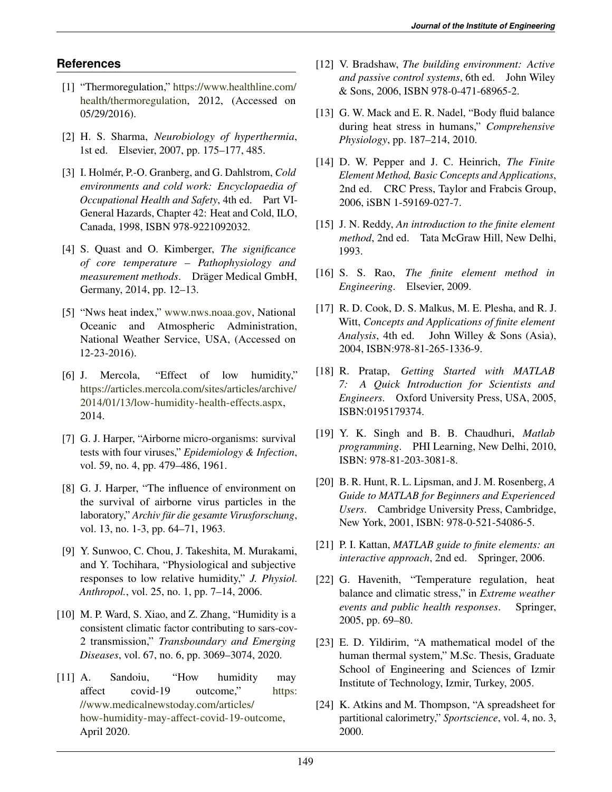# **References**

- <span id="page-8-0"></span>[1] "Thermoregulation," [https://www.healthline.com/](https://www.healthline.com/health/thermoregulation) [health/thermoregulation,](https://www.healthline.com/health/thermoregulation) 2012, (Accessed on 05/29/2016).
- <span id="page-8-1"></span>[2] H. S. Sharma, *Neurobiology of hyperthermia*, 1st ed. Elsevier, 2007, pp. 175–177, 485.
- <span id="page-8-2"></span>[3] I. Holmér, P.-O. Granberg, and G. Dahlstrom, *Cold environments and cold work: Encyclopaedia of Occupational Health and Safety*, 4th ed. Part VI-General Hazards, Chapter 42: Heat and Cold, ILO, Canada, 1998, ISBN 978-9221092032.
- <span id="page-8-3"></span>[4] S. Quast and O. Kimberger, *The significance of core temperature – Pathophysiology and measurement methods.* Dräger Medical GmbH, Germany, 2014, pp. 12–13.
- <span id="page-8-4"></span>[5] "Nws heat index," [www.nws.noaa.gov,](www.nws.noaa.gov) National Oceanic and Atmospheric Administration, National Weather Service, USA, (Accessed on 12-23-2016).
- <span id="page-8-5"></span>[6] J. Mercola, "Effect of low humidity," [https://articles.mercola.com/sites/articles/archive/](https://articles.mercola.com/sites/articles/archive/2014/01/13/low-humidity-health-effects.aspx) [2014/01/13/low-humidity-health-effects.aspx,](https://articles.mercola.com/sites/articles/archive/2014/01/13/low-humidity-health-effects.aspx) 2014.
- <span id="page-8-6"></span>[7] G. J. Harper, "Airborne micro-organisms: survival tests with four viruses," *Epidemiology & Infection*, vol. 59, no. 4, pp. 479–486, 1961.
- <span id="page-8-7"></span>[8] G. J. Harper, "The influence of environment on the survival of airborne virus particles in the laboratory," *Archiv für die gesamte Virusforschung*, vol. 13, no. 1-3, pp. 64–71, 1963.
- <span id="page-8-8"></span>[9] Y. Sunwoo, C. Chou, J. Takeshita, M. Murakami, and Y. Tochihara, "Physiological and subjective responses to low relative humidity," *J. Physiol. Anthropol.*, vol. 25, no. 1, pp. 7–14, 2006.
- <span id="page-8-9"></span>[10] M. P. Ward, S. Xiao, and Z. Zhang, "Humidity is a consistent climatic factor contributing to sars-cov-2 transmission," *Transboundary and Emerging Diseases*, vol. 67, no. 6, pp. 3069–3074, 2020.
- <span id="page-8-10"></span>[11] A. Sandoiu, "How humidity may affect covid-19 outcome," [https:](https://www.medicalnewstoday.com/articles/how-humidity-may-affect-covid-19-outcome) [//www.medicalnewstoday.com/articles/](https://www.medicalnewstoday.com/articles/how-humidity-may-affect-covid-19-outcome) [how-humidity-may-affect-covid-19-outcome,](https://www.medicalnewstoday.com/articles/how-humidity-may-affect-covid-19-outcome) April 2020.
- <span id="page-8-11"></span>[12] V. Bradshaw, *The building environment: Active and passive control systems*, 6th ed. John Wiley & Sons, 2006, ISBN 978-0-471-68965-2.
- <span id="page-8-12"></span>[13] G. W. Mack and E. R. Nadel, "Body fluid balance" during heat stress in humans," *Comprehensive Physiology*, pp. 187–214, 2010.
- <span id="page-8-13"></span>[14] D. W. Pepper and J. C. Heinrich, *The Finite Element Method, Basic Concepts and Applications*, 2nd ed. CRC Press, Taylor and Frabcis Group, 2006, iSBN 1-59169-027-7.
- <span id="page-8-14"></span>[15] J. N. Reddy, *An introduction to the finite element method*, 2nd ed. Tata McGraw Hill, New Delhi, 1993.
- <span id="page-8-15"></span>[16] S. S. Rao, *The finite element method in Engineering*. Elsevier, 2009.
- <span id="page-8-16"></span>[17] R. D. Cook, D. S. Malkus, M. E. Plesha, and R. J. Witt, *Concepts and Applications of finite element Analysis*, 4th ed. John Willey & Sons (Asia), 2004, ISBN:978-81-265-1336-9.
- <span id="page-8-17"></span>[18] R. Pratap, *Getting Started with MATLAB 7: A Quick Introduction for Scientists and Engineers*. Oxford University Press, USA, 2005, ISBN:0195179374.
- <span id="page-8-18"></span>[19] Y. K. Singh and B. B. Chaudhuri, *Matlab programming*. PHI Learning, New Delhi, 2010, ISBN: 978-81-203-3081-8.
- <span id="page-8-19"></span>[20] B. R. Hunt, R. L. Lipsman, and J. M. Rosenberg, *A Guide to MATLAB for Beginners and Experienced Users*. Cambridge University Press, Cambridge, New York, 2001, ISBN: 978-0-521-54086-5.
- <span id="page-8-20"></span>[21] P. I. Kattan, *MATLAB guide to finite elements: an interactive approach*, 2nd ed. Springer, 2006.
- <span id="page-8-21"></span>[22] G. Havenith, "Temperature regulation, heat balance and climatic stress," in *Extreme weather events and public health responses*. Springer, 2005, pp. 69–80.
- <span id="page-8-22"></span>[23] E. D. Yildirim, "A mathematical model of the human thermal system," M.Sc. Thesis, Graduate School of Engineering and Sciences of Izmir Institute of Technology, Izmir, Turkey, 2005.
- <span id="page-8-23"></span>[24] K. Atkins and M. Thompson, "A spreadsheet for partitional calorimetry," *Sportscience*, vol. 4, no. 3, 2000.